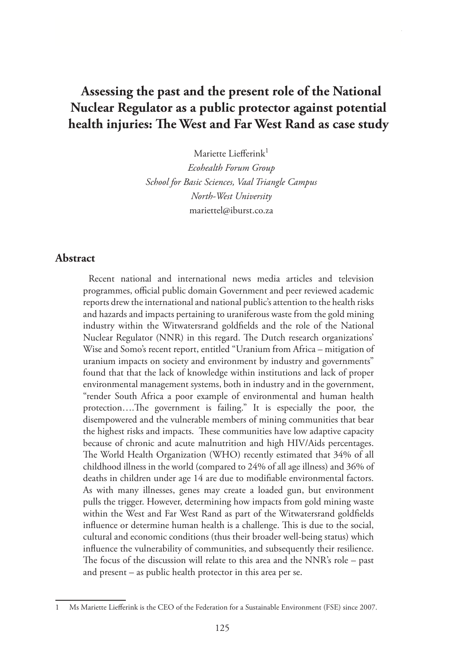# **Assessing the past and the present role of the National Nuclear Regulator as a public protector against potential health injuries: The West and Far West Rand as case study**

Mariette Liefferink1 *Ecohealth Forum Group School for Basic Sciences, Vaal Triangle Campus North-West University*  mariettel@iburst.co.za

#### **Abstract**

Recent national and international news media articles and television programmes, official public domain Government and peer reviewed academic reports drew the international and national public's attention to the health risks and hazards and impacts pertaining to uraniferous waste from the gold mining industry within the Witwatersrand goldfields and the role of the National Nuclear Regulator (NNR) in this regard. The Dutch research organizations' Wise and Somo's recent report, entitled "Uranium from Africa – mitigation of uranium impacts on society and environment by industry and governments" found that that the lack of knowledge within institutions and lack of proper environmental management systems, both in industry and in the government, "render South Africa a poor example of environmental and human health protection….The government is failing." It is especially the poor, the disempowered and the vulnerable members of mining communities that bear the highest risks and impacts. These communities have low adaptive capacity because of chronic and acute malnutrition and high HIV/Aids percentages. The World Health Organization (WHO) recently estimated that 34% of all childhood illness in the world (compared to 24% of all age illness) and 36% of deaths in children under age 14 are due to modifiable environmental factors. As with many illnesses, genes may create a loaded gun, but environment pulls the trigger. However, determining how impacts from gold mining waste within the West and Far West Rand as part of the Witwatersrand goldfields influence or determine human health is a challenge. This is due to the social, cultural and economic conditions (thus their broader well-being status) which influence the vulnerability of communities, and subsequently their resilience. The focus of the discussion will relate to this area and the NNR's role – past and present – as public health protector in this area per se.

<sup>1</sup> Ms Mariette Liefferink is the CEO of the Federation for a Sustainable Environment (FSE) since 2007.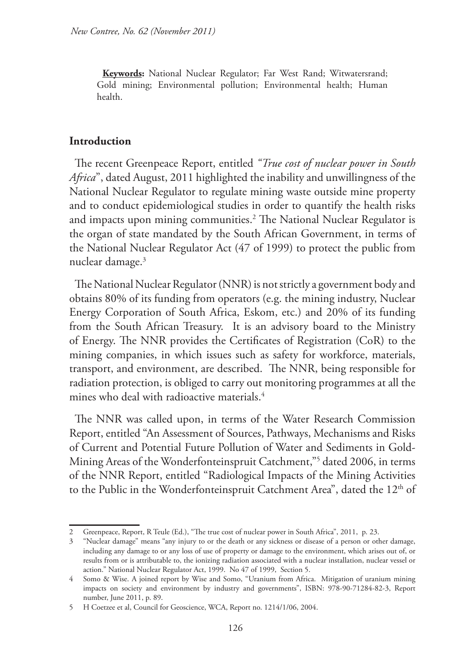**Keywords:** National Nuclear Regulator; Far West Rand; Witwatersrand; Gold mining; Environmental pollution; Environmental health; Human health.

#### **Introduction**

The recent Greenpeace Report, entitled *"True cost of nuclear power in South Africa*", dated August, 2011 highlighted the inability and unwillingness of the National Nuclear Regulator to regulate mining waste outside mine property and to conduct epidemiological studies in order to quantify the health risks and impacts upon mining communities.2 The National Nuclear Regulator is the organ of state mandated by the South African Government, in terms of the National Nuclear Regulator Act (47 of 1999) to protect the public from nuclear damage.3

The National Nuclear Regulator (NNR) is not strictly a government body and obtains 80% of its funding from operators (e.g. the mining industry, Nuclear Energy Corporation of South Africa, Eskom, etc.) and 20% of its funding from the South African Treasury. It is an advisory board to the Ministry of Energy. The NNR provides the Certificates of Registration (CoR) to the mining companies, in which issues such as safety for workforce, materials, transport, and environment, are described. The NNR, being responsible for radiation protection, is obliged to carry out monitoring programmes at all the mines who deal with radioactive materials. $4$ 

The NNR was called upon, in terms of the Water Research Commission Report, entitled "An Assessment of Sources, Pathways, Mechanisms and Risks of Current and Potential Future Pollution of Water and Sediments in Gold-Mining Areas of the Wonderfonteinspruit Catchment,"5 dated 2006, in terms of the NNR Report, entitled "Radiological Impacts of the Mining Activities to the Public in the Wonderfonteinspruit Catchment Area", dated the 12<sup>th</sup> of

<sup>2</sup> Greenpeace, Report, R Teule (Ed.), "The true cost of nuclear power in South Africa", 2011, p. 23.

<sup>3</sup> "Nuclear damage" means "any injury to or the death or any sickness or disease of a person or other damage, including any damage to or any loss of use of property or damage to the environment, which arises out of, or results from or is attributable to, the ionizing radiation associated with a nuclear installation, nuclear vessel or action." National Nuclear Regulator Act, 1999. No 47 of 1999, Section 5.

<sup>4</sup> Somo & Wise. A joined report by Wise and Somo, "Uranium from Africa. Mitigation of uranium mining impacts on society and environment by industry and governments", ISBN: 978-90-71284-82-3, Report number, June 2011, p. 89.

<sup>5</sup> H Coetzee et al, Council for Geoscience, WCA, Report no. 1214/1/06, 2004.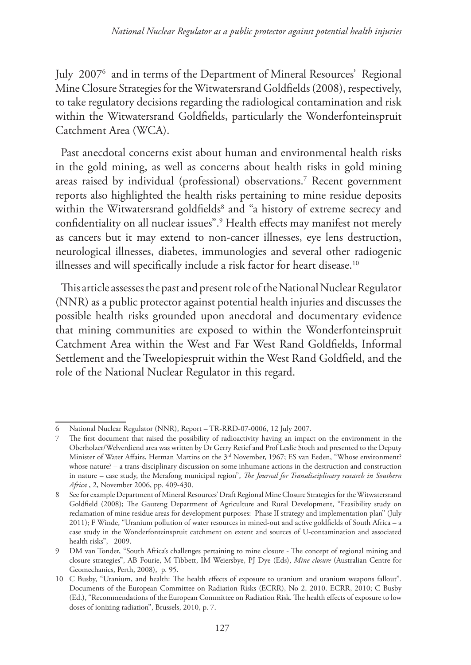July 20076 and in terms of the Department of Mineral Resources' Regional Mine Closure Strategies for the Witwatersrand Goldfields (2008), respectively, to take regulatory decisions regarding the radiological contamination and risk within the Witwatersrand Goldfields, particularly the Wonderfonteinspruit Catchment Area (WCA).

Past anecdotal concerns exist about human and environmental health risks in the gold mining, as well as concerns about health risks in gold mining areas raised by individual (professional) observations.7 Recent government reports also highlighted the health risks pertaining to mine residue deposits within the Witwatersrand goldfields<sup>8</sup> and "a history of extreme secrecy and confidentiality on all nuclear issues".9 Health effects may manifest not merely as cancers but it may extend to non-cancer illnesses, eye lens destruction, neurological illnesses, diabetes, immunologies and several other radiogenic illnesses and will specifically include a risk factor for heart disease.<sup>10</sup>

This article assesses the past and present role of the National Nuclear Regulator (NNR) as a public protector against potential health injuries and discusses the possible health risks grounded upon anecdotal and documentary evidence that mining communities are exposed to within the Wonderfonteinspruit Catchment Area within the West and Far West Rand Goldfields, Informal Settlement and the Tweelopiespruit within the West Rand Goldfield, and the role of the National Nuclear Regulator in this regard.

<sup>6</sup> National Nuclear Regulator (NNR), Report – TR-RRD-07-0006, 12 July 2007.

<sup>7</sup> The first document that raised the possibility of radioactivity having an impact on the environment in the Oberholzer/Welverdiend area was written by Dr Gerry Retief and Prof Leslie Stoch and presented to the Deputy Minister of Water Affairs, Herman Martins on the 3rd November, 1967; ES van Eeden, "Whose environment? whose nature? – a trans-disciplinary discussion on some inhumane actions in the destruction and construction in nature – case study, the Merafong municipal region", *The Journal for Transdisciplinary research in Southern Africa* , 2, November 2006, pp. 409-430.

<sup>8</sup> See for example Department of Mineral Resources' Draft Regional Mine Closure Strategies for the Witwatersrand Goldfield (2008); The Gauteng Department of Agriculture and Rural Development, "Feasibility study on reclamation of mine residue areas for development purposes: Phase II strategy and implementation plan" (July 2011); F Winde, "Uranium pollution of water resources in mined-out and active goldfields of South Africa – a case study in the Wonderfonteinspruit catchment on extent and sources of U-contamination and associated health risks", 2009.

<sup>9</sup> DM van Tonder, "South Africa's challenges pertaining to mine closure - The concept of regional mining and closure strategies", AB Fourie, M Tibbett, IM Weiersbye, PJ Dye (Eds), *Mine closure* (Australian Centre for Geomechanics, Perth, 2008), p. 95.

<sup>10</sup> C Busby, "Uranium, and health: The health effects of exposure to uranium and uranium weapons fallout". Documents of the European Committee on Radiation Risks (ECRR), No 2. 2010. ECRR, 2010; C Busby (Ed.), "Recommendations of the European Committee on Radiation Risk. The health effects of exposure to low doses of ionizing radiation", Brussels, 2010, p. 7.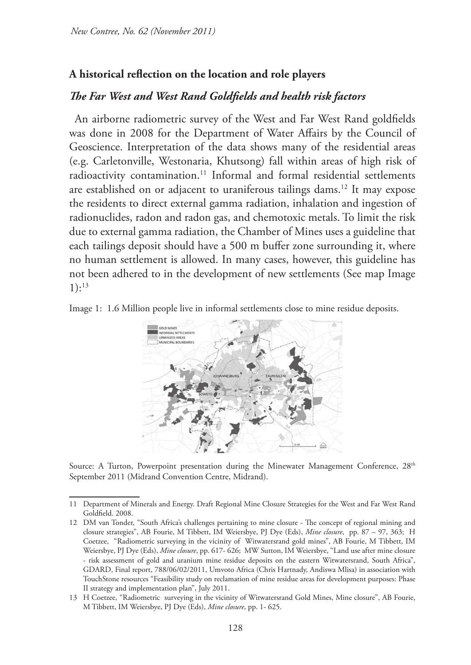### **A historical reflection on the location and role players**

### *The Far West and West Rand Goldfields and health risk factors*

An airborne radiometric survey of the West and Far West Rand goldfields was done in 2008 for the Department of Water Affairs by the Council of Geoscience. Interpretation of the data shows many of the residential areas (e.g. Carletonville, Westonaria, Khutsong) fall within areas of high risk of radioactivity contamination.<sup>11</sup> Informal and formal residential settlements are established on or adjacent to uraniferous tailings dams.<sup>12</sup> It may expose the residents to direct external gamma radiation, inhalation and ingestion of radionuclides, radon and radon gas, and chemotoxic metals. To limit the risk due to external gamma radiation, the Chamber of Mines uses a guideline that each tailings deposit should have a 500 m buffer zone surrounding it, where no human settlement is allowed. In many cases, however, this guideline has not been adhered to in the development of new settlements (See map Image 1):13

Image 1: 1.6 Million people live in informal settlements close to mine residue deposits.



Source: A Turton, Powerpoint presentation during the Minewater Management Conference, 28<sup>th</sup> September 2011 (Midrand Convention Centre, Midrand).

<sup>11</sup> Department of Minerals and Energy. Draft Regional Mine Closure Strategies for the West and Far West Rand Goldfield. 2008.

<sup>12</sup> DM van Tonder, "South Africa's challenges pertaining to mine closure - The concept of regional mining and closure strategies", AB Fourie, M Tibbett, IM Weiersbye, PJ Dye (Eds), *Mine closure*, pp. 87 – 97, 363; H Coetzee, "Radiometric surveying in the vicinity of Witwatersrand gold mines", AB Fourie, M Tibbett, IM Weiersbye, PJ Dye (Eds), *Mine closure*, pp. 617- 626; MW Sutton, IM Weiersbye, "Land use after mine closure - risk assessment of gold and uranium mine residue deposits on the eastern Witwatersrand, South Africa", GDARD, Final report, 788/06/02/2011, Umvoto Africa (Chris Hartnady, Andiswa Mlisa) in association with TouchStone resources "Feasibility study on reclamation of mine residue areas for development purposes: Phase II strategy and implementation plan", July 2011.

<sup>13</sup> H Coetzee, "Radiometric surveying in the vicinity of Witwatersrand Gold Mines, Mine closure", AB Fourie, M Tibbett, IM Weiersbye, PJ Dye (Eds), *Mine closure*, pp. 1- 625.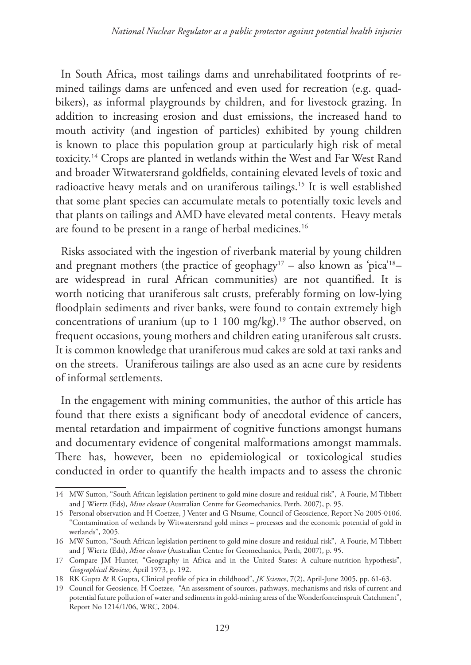In South Africa, most tailings dams and unrehabilitated footprints of remined tailings dams are unfenced and even used for recreation (e.g. quadbikers), as informal playgrounds by children, and for livestock grazing. In addition to increasing erosion and dust emissions, the increased hand to mouth activity (and ingestion of particles) exhibited by young children is known to place this population group at particularly high risk of metal toxicity.14 Crops are planted in wetlands within the West and Far West Rand and broader Witwatersrand goldfields, containing elevated levels of toxic and radioactive heavy metals and on uraniferous tailings.15 It is well established that some plant species can accumulate metals to potentially toxic levels and that plants on tailings and AMD have elevated metal contents. Heavy metals are found to be present in a range of herbal medicines.<sup>16</sup>

Risks associated with the ingestion of riverbank material by young children and pregnant mothers (the practice of geophagy<sup>17</sup> – also known as 'pica'<sup>18</sup>– are widespread in rural African communities) are not quantified. It is worth noticing that uraniferous salt crusts, preferably forming on low-lying floodplain sediments and river banks, were found to contain extremely high concentrations of uranium (up to 1 100 mg/kg).<sup>19</sup> The author observed, on frequent occasions, young mothers and children eating uraniferous salt crusts. It is common knowledge that uraniferous mud cakes are sold at taxi ranks and on the streets. Uraniferous tailings are also used as an acne cure by residents of informal settlements.

In the engagement with mining communities, the author of this article has found that there exists a significant body of anecdotal evidence of cancers, mental retardation and impairment of cognitive functions amongst humans and documentary evidence of congenital malformations amongst mammals. There has, however, been no epidemiological or toxicological studies conducted in order to quantify the health impacts and to assess the chronic

<sup>14</sup> MW Sutton, "South African legislation pertinent to gold mine closure and residual risk", A Fourie, M Tibbett and J Wiertz (Eds), *Mine closure* (Australian Centre for Geomechanics, Perth, 2007), p. 95.

<sup>15</sup> Personal observation and H Coetzee, J Venter and G Ntsume, Council of Geoscience, Report No 2005-0106. "Contamination of wetlands by Witwatersrand gold mines – processes and the economic potential of gold in wetlands", 2005.

<sup>16</sup> MW Sutton, "South African legislation pertinent to gold mine closure and residual risk", A Fourie, M Tibbett and J Wiertz (Eds), *Mine closure* (Australian Centre for Geomechanics, Perth, 2007), p. 95.

<sup>17</sup> Compare JM Hunter, "Geography in Africa and in the United States: A culture-nutrition hypothesis", *Geographical Review*, April 1973, p. 192.

<sup>18</sup> RK Gupta & R Gupta, Clinical profile of pica in childhood", *JK Science*, 7(2), April-June 2005, pp. 61-63.

<sup>19</sup> Council for Geosience, H Coetzee, "An assessment of sources, pathways, mechanisms and risks of current and potential future pollution of water and sediments in gold-mining areas of the Wonderfonteinspruit Catchment", Report No 1214/1/06, WRC, 2004.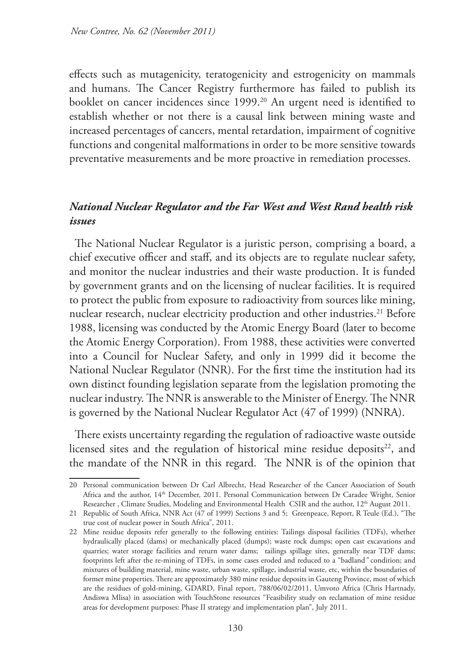effects such as mutagenicity, teratogenicity and estrogenicity on mammals and humans. The Cancer Registry furthermore has failed to publish its booklet on cancer incidences since 1999.<sup>20</sup> An urgent need is identified to establish whether or not there is a causal link between mining waste and increased percentages of cancers, mental retardation, impairment of cognitive functions and congenital malformations in order to be more sensitive towards preventative measurements and be more proactive in remediation processes.

## *National Nuclear Regulator and the Far West and West Rand health risk issues*

The National Nuclear Regulator is a juristic person, comprising a board, a chief executive officer and staff, and its objects are to regulate nuclear safety, and monitor the nuclear industries and their waste production. It is funded by government grants and on the licensing of nuclear facilities. It is required to protect the public from exposure to radioactivity from sources like mining, nuclear research, nuclear electricity production and other industries.<sup>21</sup> Before 1988, licensing was conducted by the Atomic Energy Board (later to become the Atomic Energy Corporation). From 1988, these activities were converted into a Council for Nuclear Safety, and only in 1999 did it become the National Nuclear Regulator (NNR). For the first time the institution had its own distinct founding legislation separate from the legislation promoting the nuclear industry. The NNR is answerable to the Minister of Energy. The NNR is governed by the National Nuclear Regulator Act (47 of 1999) (NNRA).

There exists uncertainty regarding the regulation of radioactive waste outside licensed sites and the regulation of historical mine residue deposits $22$ , and the mandate of the NNR in this regard. The NNR is of the opinion that

<sup>20</sup> Personal communication between Dr Carl Albrecht, Head Researcher of the Cancer Association of South Africa and the author, 14<sup>th</sup> December, 2011. Personal Communication between Dr Caradee Wright, Senior Researcher, Climate Studies, Modeling and Environmental Health CSIR and the author, 12<sup>th</sup> August 2011.

<sup>21</sup> Republic of South Africa, NNR Act (47 of 1999) Sections 3 and 5; Greenpeace, Report, R Teule (Ed.), "The true cost of nuclear power in South Africa", 2011.

<sup>22</sup> Mine residue deposits refer generally to the following entities: Tailings disposal facilities (TDFs), whether hydraulically placed (dams) or mechanically placed (dumps); waste rock dumps; open cast excavations and quarries; water storage facilities and return water dams; tailings spillage sites, generally near TDF dams; footprints left after the re-mining of TDFs, in some cases eroded and reduced to a "badland*"* condition; and mixtures of building material, mine waste, urban waste, spillage, industrial waste, etc, within the boundaries of former mine properties. There are approximately 380 mine residue deposits in Gauteng Province, most of which are the residues of gold-mining, GDARD, Final report, 788/06/02/2011, Umvoto Africa (Chris Hartnady, Andiswa Mlisa) in association with TouchStone resources "Feasibility study on reclamation of mine residue areas for development purposes: Phase II strategy and implementation plan", July 2011.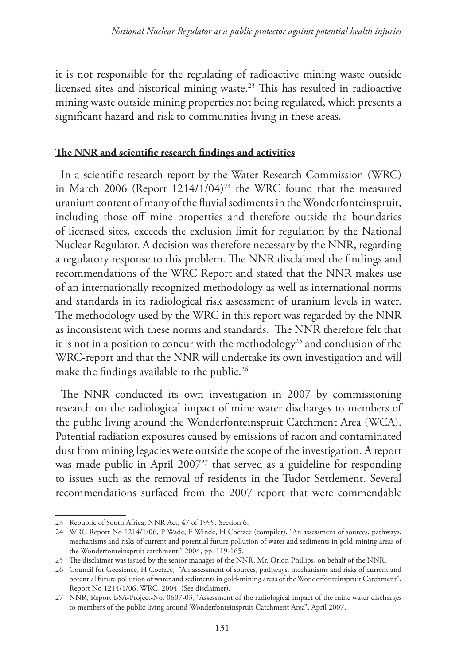it is not responsible for the regulating of radioactive mining waste outside licensed sites and historical mining waste.<sup>23</sup> This has resulted in radioactive mining waste outside mining properties not being regulated, which presents a significant hazard and risk to communities living in these areas.

### **The NNR and scientific research findings and activities**

In a scientific research report by the Water Research Commission (WRC) in March 2006 (Report  $1214/1/04$ )<sup>24</sup> the WRC found that the measured uranium content of many of the fluvial sediments in the Wonderfonteinspruit, including those off mine properties and therefore outside the boundaries of licensed sites, exceeds the exclusion limit for regulation by the National Nuclear Regulator. A decision was therefore necessary by the NNR, regarding a regulatory response to this problem. The NNR disclaimed the findings and recommendations of the WRC Report and stated that the NNR makes use of an internationally recognized methodology as well as international norms and standards in its radiological risk assessment of uranium levels in water. The methodology used by the WRC in this report was regarded by the NNR as inconsistent with these norms and standards. The NNR therefore felt that it is not in a position to concur with the methodology<sup>25</sup> and conclusion of the WRC-report and that the NNR will undertake its own investigation and will make the findings available to the public.<sup>26</sup>

The NNR conducted its own investigation in 2007 by commissioning research on the radiological impact of mine water discharges to members of the public living around the Wonderfonteinspruit Catchment Area (WCA). Potential radiation exposures caused by emissions of radon and contaminated dust from mining legacies were outside the scope of the investigation. A report was made public in April 2007<sup>27</sup> that served as a guideline for responding to issues such as the removal of residents in the Tudor Settlement. Several recommendations surfaced from the 2007 report that were commendable

<sup>23</sup> Republic of South Africa, NNR Act, 47 of 1999. Section 6.

<sup>24</sup> WRC Report No 1214/1/06, P Wade, F Winde, H Coetzee (compiler), "An assessment of sources, pathways, mechanisms and risks of current and potential future pollution of water and sediments in gold-mining areas of the Wonderfonteinspruit catchment," 2004, pp. 119-165.

<sup>25</sup> The disclaimer was issued by the senior manager of the NNR, Mr. Orion Phillips, on behalf of the NNR.

<sup>26</sup> Council for Geosience, H Coetzee, "An assessment of sources, pathways, mechanisms and risks of current and potential future pollution of water and sediments in gold-mining areas of the Wonderfonteinspruit Catchment", Report No 1214/1/06, WRC, 2004 (See disclaimer).

<sup>27</sup> NNR, Report BSA-Project-No. 0607-03, "Assessment of the radiological impact of the mine water discharges to members of the public living around Wonderfonteinspruit Catchment Area", April 2007.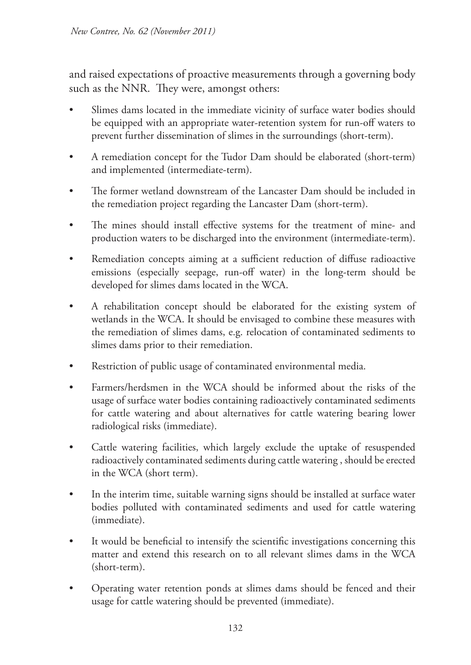and raised expectations of proactive measurements through a governing body such as the NNR. They were, amongst others:

- Slimes dams located in the immediate vicinity of surface water bodies should be equipped with an appropriate water-retention system for run-off waters to prevent further dissemination of slimes in the surroundings (short-term).
- A remediation concept for the Tudor Dam should be elaborated (short-term) and implemented (intermediate-term).
- The former wetland downstream of the Lancaster Dam should be included in the remediation project regarding the Lancaster Dam (short-term).
- The mines should install effective systems for the treatment of mine- and production waters to be discharged into the environment (intermediate-term).
- Remediation concepts aiming at a sufficient reduction of diffuse radioactive emissions (especially seepage, run-off water) in the long-term should be developed for slimes dams located in the WCA.
- A rehabilitation concept should be elaborated for the existing system of wetlands in the WCA. It should be envisaged to combine these measures with the remediation of slimes dams, e.g. relocation of contaminated sediments to slimes dams prior to their remediation.
- Restriction of public usage of contaminated environmental media.
- Farmers/herdsmen in the WCA should be informed about the risks of the usage of surface water bodies containing radioactively contaminated sediments for cattle watering and about alternatives for cattle watering bearing lower radiological risks (immediate).
- Cattle watering facilities, which largely exclude the uptake of resuspended radioactively contaminated sediments during cattle watering , should be erected in the WCA (short term).
- In the interim time, suitable warning signs should be installed at surface water bodies polluted with contaminated sediments and used for cattle watering (immediate).
- It would be beneficial to intensify the scientific investigations concerning this matter and extend this research on to all relevant slimes dams in the WCA (short-term).
- Operating water retention ponds at slimes dams should be fenced and their usage for cattle watering should be prevented (immediate).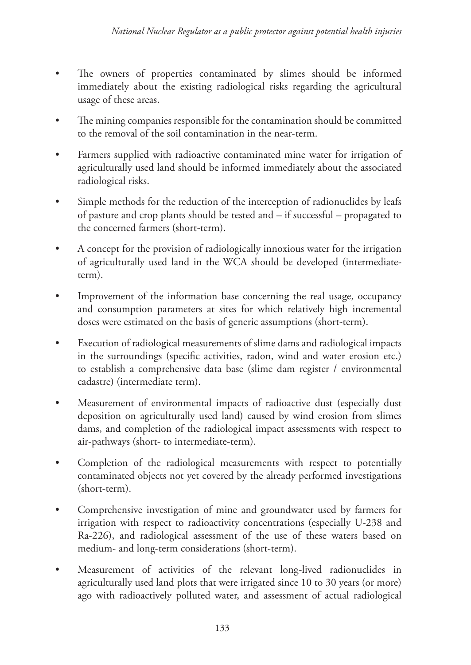- The owners of properties contaminated by slimes should be informed immediately about the existing radiological risks regarding the agricultural usage of these areas.
- The mining companies responsible for the contamination should be committed to the removal of the soil contamination in the near-term.
- Farmers supplied with radioactive contaminated mine water for irrigation of agriculturally used land should be informed immediately about the associated radiological risks.
- Simple methods for the reduction of the interception of radionuclides by leafs of pasture and crop plants should be tested and – if successful – propagated to the concerned farmers (short-term).
- A concept for the provision of radiologically innoxious water for the irrigation of agriculturally used land in the WCA should be developed (intermediateterm).
- Improvement of the information base concerning the real usage, occupancy and consumption parameters at sites for which relatively high incremental doses were estimated on the basis of generic assumptions (short-term).
- Execution of radiological measurements of slime dams and radiological impacts in the surroundings (specific activities, radon, wind and water erosion etc.) to establish a comprehensive data base (slime dam register / environmental cadastre) (intermediate term).
- Measurement of environmental impacts of radioactive dust (especially dust deposition on agriculturally used land) caused by wind erosion from slimes dams, and completion of the radiological impact assessments with respect to air-pathways (short- to intermediate-term).
- Completion of the radiological measurements with respect to potentially contaminated objects not yet covered by the already performed investigations (short-term).
- Comprehensive investigation of mine and groundwater used by farmers for irrigation with respect to radioactivity concentrations (especially U-238 and Ra-226), and radiological assessment of the use of these waters based on medium- and long-term considerations (short-term).
- Measurement of activities of the relevant long-lived radionuclides in agriculturally used land plots that were irrigated since 10 to 30 years (or more) ago with radioactively polluted water, and assessment of actual radiological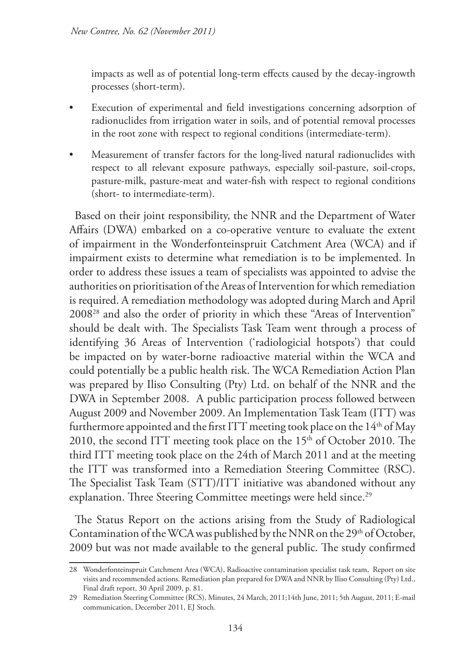impacts as well as of potential long-term effects caused by the decay-ingrowth processes (short-term).

- Execution of experimental and field investigations concerning adsorption of radionuclides from irrigation water in soils, and of potential removal processes in the root zone with respect to regional conditions (intermediate-term).
- Measurement of transfer factors for the long-lived natural radionuclides with respect to all relevant exposure pathways, especially soil-pasture, soil-crops, pasture-milk, pasture-meat and water-fish with respect to regional conditions (short- to intermediate-term).

Based on their joint responsibility, the NNR and the Department of Water Affairs (DWA) embarked on a co-operative venture to evaluate the extent of impairment in the Wonderfonteinspruit Catchment Area (WCA) and if impairment exists to determine what remediation is to be implemented. In order to address these issues a team of specialists was appointed to advise the authorities on prioritisation of the Areas of Intervention for which remediation is required. A remediation methodology was adopted during March and April 200828 and also the order of priority in which these "Areas of Intervention" should be dealt with. The Specialists Task Team went through a process of identifying 36 Areas of Intervention ('radiologicial hotspots') that could be impacted on by water-borne radioactive material within the WCA and could potentially be a public health risk. The WCA Remediation Action Plan was prepared by Iliso Consulting (Pty) Ltd. on behalf of the NNR and the DWA in September 2008. A public participation process followed between August 2009 and November 2009. An Implementation Task Team (ITT) was furthermore appointed and the first ITT meeting took place on the  $14<sup>th</sup>$  of May 2010, the second ITT meeting took place on the 15<sup>th</sup> of October 2010. The third ITT meeting took place on the 24th of March 2011 and at the meeting the ITT was transformed into a Remediation Steering Committee (RSC). The Specialist Task Team (STT)/ITT initiative was abandoned without any explanation. Three Steering Committee meetings were held since.<sup>29</sup>

The Status Report on the actions arising from the Study of Radiological Contamination of the WCA was published by the NNR on the 29<sup>th</sup> of October, 2009 but was not made available to the general public. The study confirmed

<sup>28</sup> Wonderfonteinspruit Catchment Area (WCA), Radioactive contamination specialist task team, Report on site visits and recommended actions. Remediation plan prepared for DWA and NNR by Iliso Consulting (Pty) Ltd., Final draft report, 30 April 2009, p. 81.

<sup>29</sup> Remediation Steering Committee (RCS), Minutes, 24 March, 2011;14th June, 2011; 5th August, 2011; E-mail communication, December 2011, EJ Stoch.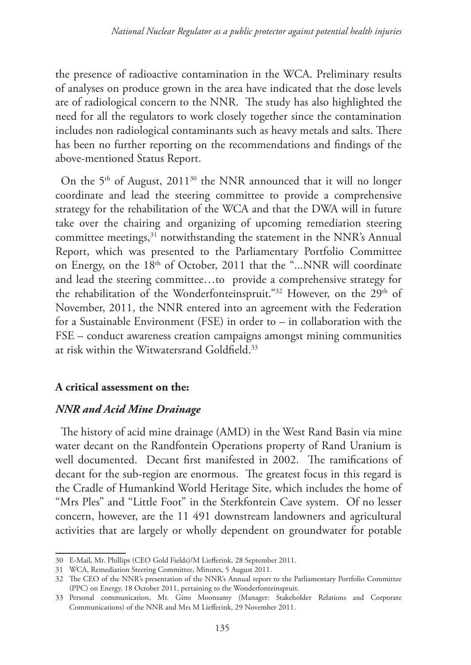the presence of radioactive contamination in the WCA. Preliminary results of analyses on produce grown in the area have indicated that the dose levels are of radiological concern to the NNR. The study has also highlighted the need for all the regulators to work closely together since the contamination includes non radiological contaminants such as heavy metals and salts. There has been no further reporting on the recommendations and findings of the above-mentioned Status Report.

On the 5<sup>th</sup> of August, 2011<sup>30</sup> the NNR announced that it will no longer coordinate and lead the steering committee to provide a comprehensive strategy for the rehabilitation of the WCA and that the DWA will in future take over the chairing and organizing of upcoming remediation steering committee meetings,<sup>31</sup> notwithstanding the statement in the NNR's Annual Report, which was presented to the Parliamentary Portfolio Committee on Energy, on the 18<sup>th</sup> of October, 2011 that the "...NNR will coordinate and lead the steering committee…to provide a comprehensive strategy for the rehabilitation of the Wonderfonteinspruit."<sup>32</sup> However, on the 29<sup>th</sup> of November, 2011, the NNR entered into an agreement with the Federation for a Sustainable Environment (FSE) in order to – in collaboration with the FSE – conduct awareness creation campaigns amongst mining communities at risk within the Witwatersrand Goldfield.33

### **A critical assessment on the:**

#### *NNR and Acid Mine Drainage*

The history of acid mine drainage (AMD) in the West Rand Basin via mine water decant on the Randfontein Operations property of Rand Uranium is well documented. Decant first manifested in 2002. The ramifications of decant for the sub-region are enormous. The greatest focus in this regard is the Cradle of Humankind World Heritage Site, which includes the home of "Mrs Ples" and "Little Foot" in the Sterkfontein Cave system. Of no lesser concern, however, are the 11 491 downstream landowners and agricultural activities that are largely or wholly dependent on groundwater for potable

<sup>30</sup> E-Mail, Mr. Phillips (CEO Gold Fields)/M Liefferink, 28 September 2011.

<sup>31</sup> WCA, Remediation Steering Committee, Minutes, 5 August 2011.

<sup>32</sup> The CEO of the NNR's presentation of the NNR's Annual report to the Parliamentary Portfolio Committee (PPC) on Energy, 18 October 2011, pertaining to the Wonderfonteinspruit.

<sup>33</sup> Personal communication, Mr. Gino Moonsamy (Manager: Stakeholder Relations and Corporate Communications) of the NNR and Mrs M Liefferink, 29 November 2011.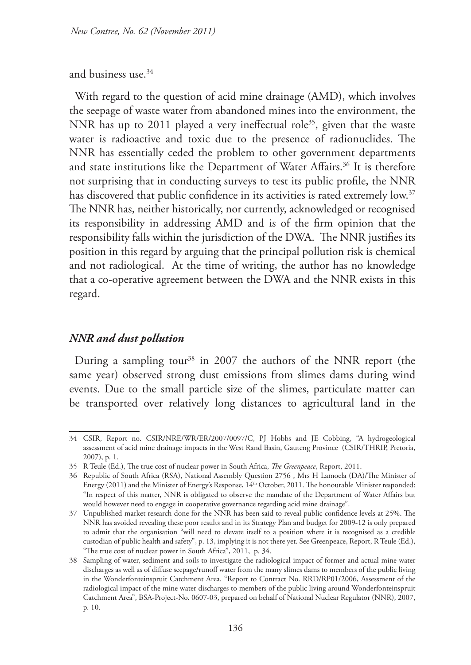and business use.34

With regard to the question of acid mine drainage (AMD), which involves the seepage of waste water from abandoned mines into the environment, the NNR has up to 2011 played a very ineffectual role<sup>35</sup>, given that the waste water is radioactive and toxic due to the presence of radionuclides. The NNR has essentially ceded the problem to other government departments and state institutions like the Department of Water Affairs.<sup>36</sup> It is therefore not surprising that in conducting surveys to test its public profile, the NNR has discovered that public confidence in its activities is rated extremely low.<sup>37</sup> The NNR has, neither historically, nor currently, acknowledged or recognised its responsibility in addressing AMD and is of the firm opinion that the responsibility falls within the jurisdiction of the DWA. The NNR justifies its position in this regard by arguing that the principal pollution risk is chemical and not radiological. At the time of writing, the author has no knowledge that a co-operative agreement between the DWA and the NNR exists in this regard.

#### *NNR and dust pollution*

During a sampling tour<sup>38</sup> in 2007 the authors of the NNR report (the same year) observed strong dust emissions from slimes dams during wind events. Due to the small particle size of the slimes, particulate matter can be transported over relatively long distances to agricultural land in the

<sup>34</sup> CSIR, Report no. CSIR/NRE/WR/ER/2007/0097/C, PJ Hobbs and JE Cobbing, "A hydrogeological assessment of acid mine drainage impacts in the West Rand Basin, Gauteng Province (CSIR/THRIP, Pretoria, 2007), p. 1.

<sup>35</sup> R Teule (Ed.), The true cost of nuclear power in South Africa, *The Greenpeace*, Report, 2011.

<sup>36</sup> Republic of South Africa (RSA), National Assembly Question 2756 , Mrs H Lamoela (DA)/The Minister of Energy (2011) and the Minister of Energy's Response, 14<sup>th</sup> October, 2011. The honourable Minister responded: "In respect of this matter, NNR is obligated to observe the mandate of the Department of Water Affairs but would however need to engage in cooperative governance regarding acid mine drainage".

<sup>37</sup> Unpublished market research done for the NNR has been said to reveal public confidence levels at 25%. The NNR has avoided revealing these poor results and in its Strategy Plan and budget for 2009-12 is only prepared to admit that the organisation "will need to elevate itself to a position where it is recognised as a credible custodian of public health and safety", p. 13, implying it is not there yet. See Greenpeace, Report, R Teule (Ed.), "The true cost of nuclear power in South Africa", 2011, p. 34.

<sup>38</sup> Sampling of water, sediment and soils to investigate the radiological impact of former and actual mine water discharges as well as of diffuse seepage/runoff water from the many slimes dams to members of the public living in the Wonderfonteinspruit Catchment Area. "Report to Contract No. RRD/RP01/2006, Assessment of the radiological impact of the mine water discharges to members of the public living around Wonderfonteinspruit Catchment Area", BSA-Project-No. 0607-03, prepared on behalf of National Nuclear Regulator (NNR), 2007, p. 10.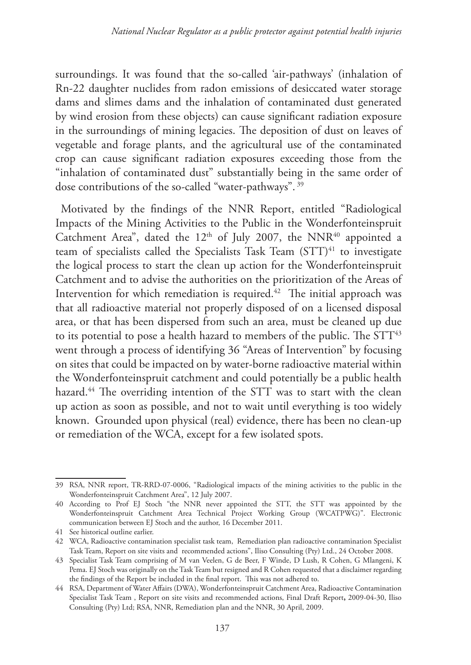surroundings. It was found that the so-called 'air-pathways' (inhalation of Rn-22 daughter nuclides from radon emissions of desiccated water storage dams and slimes dams and the inhalation of contaminated dust generated by wind erosion from these objects) can cause significant radiation exposure in the surroundings of mining legacies. The deposition of dust on leaves of vegetable and forage plants, and the agricultural use of the contaminated crop can cause significant radiation exposures exceeding those from the "inhalation of contaminated dust" substantially being in the same order of dose contributions of the so-called "water-pathways". 39

Motivated by the findings of the NNR Report, entitled "Radiological Impacts of the Mining Activities to the Public in the Wonderfonteinspruit Catchment Area", dated the  $12<sup>th</sup>$  of July 2007, the NNR<sup>40</sup> appointed a team of specialists called the Specialists Task Team  $(STT)<sup>41</sup>$  to investigate the logical process to start the clean up action for the Wonderfonteinspruit Catchment and to advise the authorities on the prioritization of the Areas of Intervention for which remediation is required.<sup>42</sup> The initial approach was that all radioactive material not properly disposed of on a licensed disposal area, or that has been dispersed from such an area, must be cleaned up due to its potential to pose a health hazard to members of the public. The STT<sup>43</sup> went through a process of identifying 36 "Areas of Intervention" by focusing on sites that could be impacted on by water-borne radioactive material within the Wonderfonteinspruit catchment and could potentially be a public health hazard.<sup>44</sup> The overriding intention of the STT was to start with the clean up action as soon as possible, and not to wait until everything is too widely known. Grounded upon physical (real) evidence, there has been no clean-up or remediation of the WCA, except for a few isolated spots.

<sup>39</sup> RSA, NNR report, TR-RRD-07-0006, "Radiological impacts of the mining activities to the public in the Wonderfonteinspruit Catchment Area", 12 July 2007.

<sup>40</sup> According to Prof EJ Stoch "the NNR never appointed the STT, the STT was appointed by the Wonderfonteinspruit Catchment Area Technical Project Working Group (WCATPWG)". Electronic communication between EJ Stoch and the author, 16 December 2011.

<sup>41</sup> See historical outline earlier.

<sup>42</sup> WCA, Radioactive contamination specialist task team, Remediation plan radioactive contamination Specialist Task Team, Report on site visits and recommended actions", Iliso Consulting (Pty) Ltd., 24 October 2008.

<sup>43</sup> Specialist Task Team comprising of M van Veelen, G de Beer, F Winde, D Lush, R Cohen, G Mlangeni, K Pema. EJ Stoch was originally on the Task Team but resigned and R Cohen requested that a disclaimer regarding the findings of the Report be included in the final report. This was not adhered to.

<sup>44</sup> RSA, Department of Water Affairs (DWA), Wonderfonteinspruit Catchment Area, Radioactive Contamination Specialist Task Team , Report on site visits and recommended actions, Final Draft Report**,** 2009-04-30, Iliso Consulting (Pty) Ltd; RSA, NNR, Remediation plan and the NNR, 30 April, 2009.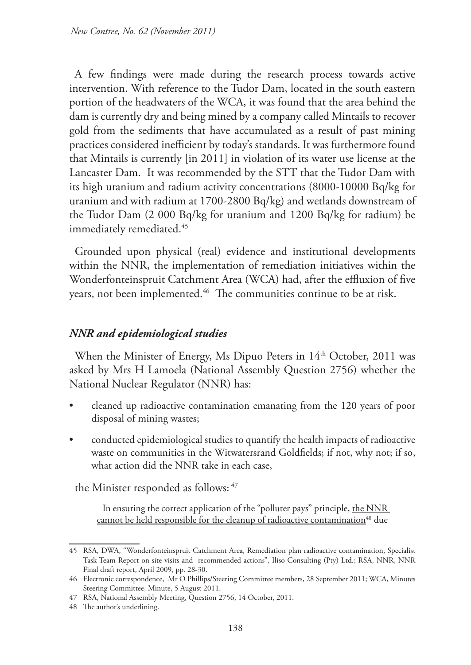A few findings were made during the research process towards active intervention. With reference to the Tudor Dam, located in the south eastern portion of the headwaters of the WCA, it was found that the area behind the dam is currently dry and being mined by a company called Mintails to recover gold from the sediments that have accumulated as a result of past mining practices considered inefficient by today's standards. It was furthermore found that Mintails is currently [in 2011] in violation of its water use license at the Lancaster Dam. It was recommended by the STT that the Tudor Dam with its high uranium and radium activity concentrations (8000-10000 Bq/kg for uranium and with radium at 1700-2800 Bq/kg) and wetlands downstream of the Tudor Dam (2 000 Bq/kg for uranium and 1200 Bq/kg for radium) be immediately remediated.<sup>45</sup>

Grounded upon physical (real) evidence and institutional developments within the NNR, the implementation of remediation initiatives within the Wonderfonteinspruit Catchment Area (WCA) had, after the effluxion of five years, not been implemented.<sup>46</sup> The communities continue to be at risk.

### *NNR and epidemiological studies*

When the Minister of Energy, Ms Dipuo Peters in 14<sup>th</sup> October, 2011 was asked by Mrs H Lamoela (National Assembly Question 2756) whether the National Nuclear Regulator (NNR) has:

- cleaned up radioactive contamination emanating from the 120 years of poor disposal of mining wastes;
- conducted epidemiological studies to quantify the health impacts of radioactive waste on communities in the Witwatersrand Goldfields; if not, why not; if so, what action did the NNR take in each case,

the Minister responded as follows: 47

In ensuring the correct application of the "polluter pays" principle, the NNR cannot be held responsible for the cleanup of radioactive contamination<sup>48</sup> due

<sup>45</sup> RSA, DWA, "Wonderfonteinspruit Catchment Area, Remediation plan radioactive contamination, Specialist Task Team Report on site visits and recommended actions", Iliso Consulting (Pty) Ltd.; RSA, NNR, NNR Final draft report, April 2009, pp. 28-30.

<sup>46</sup> Electronic correspondence, Mr O Phillips/Steering Committee members, 28 September 2011; WCA, Minutes Steering Committee, Minute, 5 August 2011.

<sup>47</sup> RSA, National Assembly Meeting, Question 2756, 14 October, 2011.

<sup>48</sup> The author's underlining.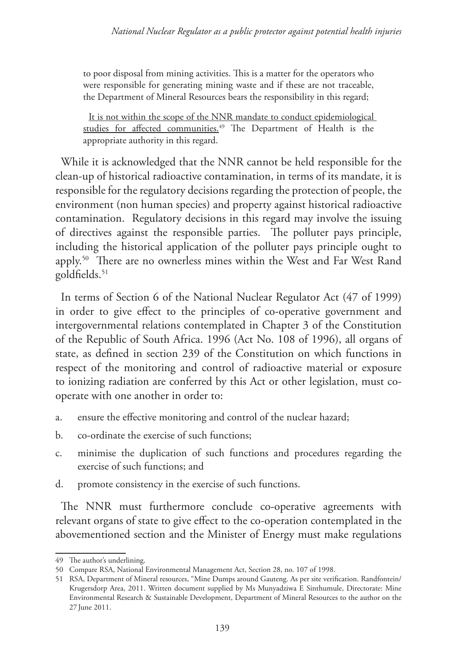to poor disposal from mining activities. This is a matter for the operators who were responsible for generating mining waste and if these are not traceable, the Department of Mineral Resources bears the responsibility in this regard;

It is not within the scope of the NNR mandate to conduct epidemiological studies for affected communities.<sup>49</sup> The Department of Health is the appropriate authority in this regard.

While it is acknowledged that the NNR cannot be held responsible for the clean-up of historical radioactive contamination, in terms of its mandate, it is responsible for the regulatory decisions regarding the protection of people, the environment (non human species) and property against historical radioactive contamination. Regulatory decisions in this regard may involve the issuing of directives against the responsible parties. The polluter pays principle, including the historical application of the polluter pays principle ought to apply.50 There are no ownerless mines within the West and Far West Rand goldfields.<sup>51</sup>

In terms of Section 6 of the National Nuclear Regulator Act (47 of 1999) in order to give effect to the principles of co-operative government and intergovernmental relations contemplated in Chapter 3 of the Constitution of the Republic of South Africa. 1996 (Act No. 108 of 1996), all organs of state, as defined in section 239 of the Constitution on which functions in respect of the monitoring and control of radioactive material or exposure to ionizing radiation are conferred by this Act or other legislation, must cooperate with one another in order to:

- a. ensure the effective monitoring and control of the nuclear hazard;
- b. co-ordinate the exercise of such functions;
- c. minimise the duplication of such functions and procedures regarding the exercise of such functions; and
- d. promote consistency in the exercise of such functions.

The NNR must furthermore conclude co-operative agreements with relevant organs of state to give effect to the co-operation contemplated in the abovementioned section and the Minister of Energy must make regulations

<sup>49</sup> The author's underlining.

<sup>50</sup> Compare RSA, National Environmental Management Act, Section 28, no. 107 of 1998.

<sup>51</sup> RSA, Department of Mineral resources, "Mine Dumps around Gauteng. As per site verification. Randfontein/ Krugersdorp Area, 2011. Written document supplied by Ms Munyadziwa E Sinthumule, Directorate: Mine Environmental Research & Sustainable Development, Department of Mineral Resources to the author on the 27 June 2011.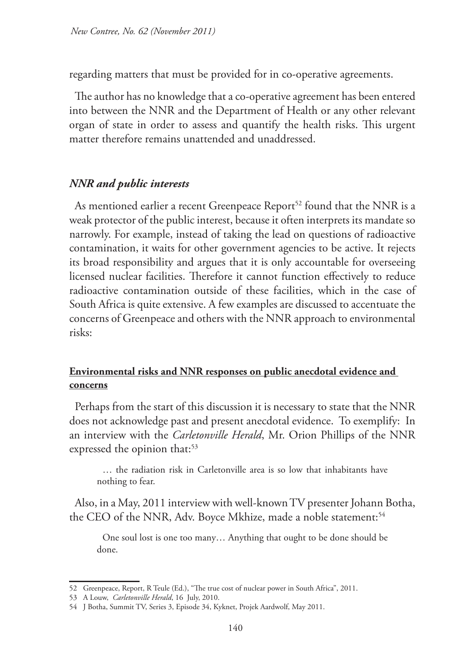regarding matters that must be provided for in co-operative agreements.

The author has no knowledge that a co-operative agreement has been entered into between the NNR and the Department of Health or any other relevant organ of state in order to assess and quantify the health risks. This urgent matter therefore remains unattended and unaddressed.

#### *NNR and public interests*

As mentioned earlier a recent Greenpeace Report<sup>52</sup> found that the NNR is a weak protector of the public interest, because it often interprets its mandate so narrowly. For example, instead of taking the lead on questions of radioactive contamination, it waits for other government agencies to be active. It rejects its broad responsibility and argues that it is only accountable for overseeing licensed nuclear facilities. Therefore it cannot function effectively to reduce radioactive contamination outside of these facilities, which in the case of South Africa is quite extensive. A few examples are discussed to accentuate the concerns of Greenpeace and others with the NNR approach to environmental risks:

### **Environmental risks and NNR responses on public anecdotal evidence and concerns**

Perhaps from the start of this discussion it is necessary to state that the NNR does not acknowledge past and present anecdotal evidence. To exemplify: In an interview with the *Carletonville Herald*, Mr. Orion Phillips of the NNR expressed the opinion that:<sup>53</sup>

… the radiation risk in Carletonville area is so low that inhabitants have nothing to fear.

Also, in a May, 2011 interview with well-known TV presenter Johann Botha, the CEO of the NNR, Adv. Boyce Mkhize, made a noble statement:<sup>54</sup>

One soul lost is one too many… Anything that ought to be done should be done.

<sup>52</sup> Greenpeace, Report, R Teule (Ed.), "The true cost of nuclear power in South Africa", 2011.

<sup>53</sup> A Louw, *Carletonville Herald*, 16 July, 2010.

<sup>54</sup> J Botha, Summit TV, Series 3, Episode 34, Kyknet, Projek Aardwolf, May 2011.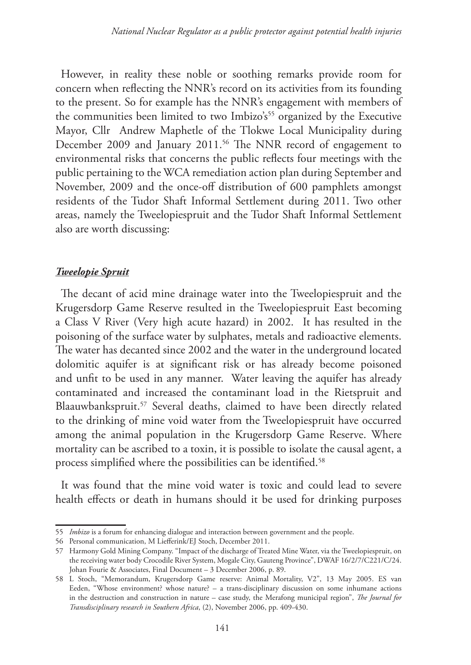However, in reality these noble or soothing remarks provide room for concern when reflecting the NNR's record on its activities from its founding to the present. So for example has the NNR's engagement with members of the communities been limited to two Imbizo's<sup>55</sup> organized by the Executive Mayor, Cllr Andrew Maphetle of the Tlokwe Local Municipality during December 2009 and January 2011.<sup>56</sup> The NNR record of engagement to environmental risks that concerns the public reflects four meetings with the public pertaining to the WCA remediation action plan during September and November, 2009 and the once-off distribution of 600 pamphlets amongst residents of the Tudor Shaft Informal Settlement during 2011. Two other areas, namely the Tweelopiespruit and the Tudor Shaft Informal Settlement also are worth discussing:

#### *Tweelopie Spruit*

The decant of acid mine drainage water into the Tweelopiespruit and the Krugersdorp Game Reserve resulted in the Tweelopiespruit East becoming a Class V River (Very high acute hazard) in 2002. It has resulted in the poisoning of the surface water by sulphates, metals and radioactive elements. The water has decanted since 2002 and the water in the underground located dolomitic aquifer is at significant risk or has already become poisoned and unfit to be used in any manner. Water leaving the aquifer has already contaminated and increased the contaminant load in the Rietspruit and Blaauwbankspruit.<sup>57</sup> Several deaths, claimed to have been directly related to the drinking of mine void water from the Tweelopiespruit have occurred among the animal population in the Krugersdorp Game Reserve. Where mortality can be ascribed to a toxin, it is possible to isolate the causal agent, a process simplified where the possibilities can be identified.<sup>58</sup>

It was found that the mine void water is toxic and could lead to severe health effects or death in humans should it be used for drinking purposes

<sup>55</sup> *Imbizo* is a forum for enhancing dialogue and interaction between government and the people.

<sup>56</sup> Personal communication, M Liefferink/EJ Stoch, December 2011.

<sup>57</sup> Harmony Gold Mining Company. "Impact of the discharge of Treated Mine Water, via the Tweelopiespruit, on the receiving water body Crocodile River System, Mogale City, Gauteng Province", DWAF 16/2/7/C221/C/24. Johan Fourie & Associates, Final Document – 3 December 2006, p. 89.

<sup>58</sup> L Stoch, "Memorandum, Krugersdorp Game reserve: Animal Mortality, V2", 13 May 2005. ES van Eeden, "Whose environment? whose nature? – a trans-disciplinary discussion on some inhumane actions in the destruction and construction in nature – case study, the Merafong municipal region", *The Journal for Transdisciplinary research in Southern Africa*, (2), November 2006, pp. 409-430.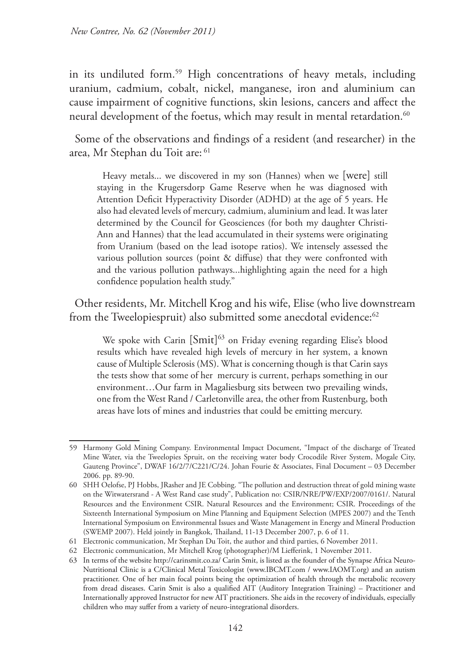in its undiluted form.59 High concentrations of heavy metals, including uranium, cadmium, cobalt, nickel, manganese, iron and aluminium can cause impairment of cognitive functions, skin lesions, cancers and affect the neural development of the foetus, which may result in mental retardation.<sup>60</sup>

Some of the observations and findings of a resident (and researcher) in the area, Mr Stephan du Toit are: 61

Heavy metals... we discovered in my son (Hannes) when we [were] still staying in the Krugersdorp Game Reserve when he was diagnosed with Attention Deficit Hyperactivity Disorder (ADHD) at the age of 5 years. He also had elevated levels of mercury, cadmium, aluminium and lead. It was later determined by the Council for Geosciences (for both my daughter Christi-Ann and Hannes) that the lead accumulated in their systems were originating from Uranium (based on the lead isotope ratios). We intensely assessed the various pollution sources (point & diffuse) that they were confronted with and the various pollution pathways...highlighting again the need for a high confidence population health study."

Other residents, Mr. Mitchell Krog and his wife, Elise (who live downstream from the Tweelopiespruit) also submitted some anecdotal evidence: $62$ 

We spoke with Carin  $\lceil Smit \rceil^{63}$  on Friday evening regarding Elise's blood results which have revealed high levels of mercury in her system, a known cause of Multiple Sclerosis (MS). What is concerning though is that Carin says the tests show that some of her mercury is current, perhaps something in our environment…Our farm in Magaliesburg sits between two prevailing winds, one from the West Rand / Carletonville area, the other from Rustenburg, both areas have lots of mines and industries that could be emitting mercury.

<sup>59</sup> Harmony Gold Mining Company. Environmental Impact Document, "Impact of the discharge of Treated Mine Water, via the Tweelopies Spruit, on the receiving water body Crocodile River System, Mogale City, Gauteng Province", DWAF 16/2/7/C221/C/24. Johan Fourie & Associates, Final Document – 03 December 2006. pp. 89-90.

<sup>60</sup> SHH Oelofse, PJ Hobbs, JRasher and JE Cobbing. "The pollution and destruction threat of gold mining waste on the Witwatersrand - A West Rand case study", Publication no: CSIR/NRE/PW/EXP/2007/0161/. Natural Resources and the Environment CSIR. Natural Resources and the Environment; CSIR. Proceedings of the Sixteenth International Symposium on Mine Planning and Equipment Selection (MPES 2007) and the Tenth International Symposium on Environmental Issues and Waste Management in Energy and Mineral Production (SWEMP 2007). Held jointly in Bangkok, Thailand, 11-13 December 2007, p. 6 of 11.

<sup>61</sup> Electronic communication, Mr Stephan Du Toit, the author and third parties, 6 November 2011.

<sup>62</sup> Electronic communication, Mr Mitchell Krog (photographer)/M Liefferink, 1 November 2011.

<sup>63</sup> In terms of the website http://carinsmit.co.za/ Carin Smit, is listed as the founder of the Synapse Africa Neuro-Nutritional Clinic is a C/Clinical Metal Toxicologist (www.IBCMT.com / www.IAOMT.org) and an autism practitioner. One of her main focal points being the optimization of health through the metabolic recovery from dread diseases. Carin Smit is also a qualified AIT (Auditory Integration Training) – Practitioner and Internationally approved Instructor for new AIT practitioners. She aids in the recovery of individuals, especially children who may suffer from a variety of neuro-integrational disorders.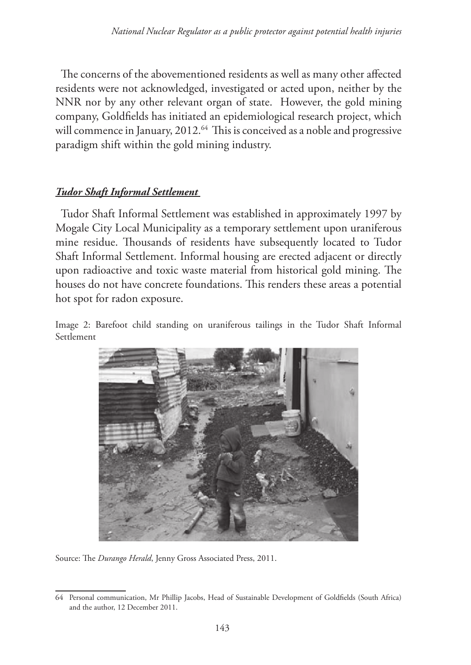The concerns of the abovementioned residents as well as many other affected residents were not acknowledged, investigated or acted upon, neither by the NNR nor by any other relevant organ of state. However, the gold mining company, Goldfields has initiated an epidemiological research project, which will commence in January, 2012.<sup>64</sup> This is conceived as a noble and progressive paradigm shift within the gold mining industry.

### *Tudor Shaft Informal Settlement*

Tudor Shaft Informal Settlement was established in approximately 1997 by Mogale City Local Municipality as a temporary settlement upon uraniferous mine residue. Thousands of residents have subsequently located to Tudor Shaft Informal Settlement. Informal housing are erected adjacent or directly upon radioactive and toxic waste material from historical gold mining. The houses do not have concrete foundations. This renders these areas a potential hot spot for radon exposure.

Image 2: Barefoot child standing on uraniferous tailings in the Tudor Shaft Informal Settlement



Source: The *Durango Herald*, Jenny Gross Associated Press, 2011.

<sup>64</sup> Personal communication, Mr Phillip Jacobs, Head of Sustainable Development of Goldfields (South Africa) and the author, 12 December 2011.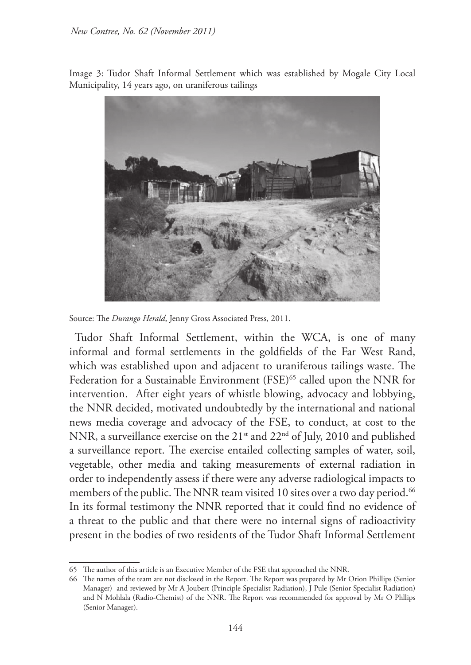Image 3: Tudor Shaft Informal Settlement which was established by Mogale City Local Municipality, 14 years ago, on uraniferous tailings



Source: The *Durango Herald*, Jenny Gross Associated Press, 2011.

Tudor Shaft Informal Settlement, within the WCA, is one of many informal and formal settlements in the goldfields of the Far West Rand, which was established upon and adjacent to uraniferous tailings waste. The Federation for a Sustainable Environment (FSE)<sup>65</sup> called upon the NNR for intervention. After eight years of whistle blowing, advocacy and lobbying, the NNR decided, motivated undoubtedly by the international and national news media coverage and advocacy of the FSE, to conduct, at cost to the NNR, a surveillance exercise on the 21<sup>st</sup> and 22<sup>nd</sup> of July, 2010 and published a surveillance report. The exercise entailed collecting samples of water, soil, vegetable, other media and taking measurements of external radiation in order to independently assess if there were any adverse radiological impacts to members of the public. The NNR team visited 10 sites over a two day period.<sup>66</sup> In its formal testimony the NNR reported that it could find no evidence of a threat to the public and that there were no internal signs of radioactivity present in the bodies of two residents of the Tudor Shaft Informal Settlement

<sup>65</sup> The author of this article is an Executive Member of the FSE that approached the NNR.

<sup>66</sup> The names of the team are not disclosed in the Report. The Report was prepared by Mr Orion Phillips (Senior Manager) and reviewed by Mr A Joubert (Principle Specialist Radiation), J Pule (Senior Specialist Radiation) and N Mohlala (Radio-Chemist) of the NNR. The Report was recommended for approval by Mr O Phllips (Senior Manager).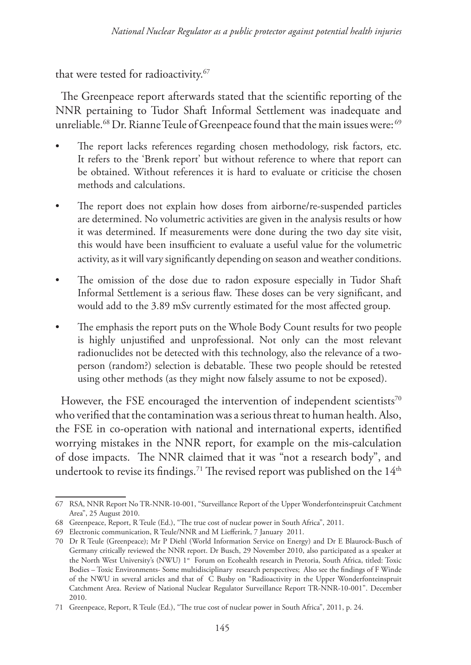that were tested for radioactivity.<sup>67</sup>

The Greenpeace report afterwards stated that the scientific reporting of the NNR pertaining to Tudor Shaft Informal Settlement was inadequate and unreliable.<sup>68</sup> Dr. Rianne Teule of Greenpeace found that the main issues were:<sup>69</sup>

- The report lacks references regarding chosen methodology, risk factors, etc. It refers to the 'Brenk report' but without reference to where that report can be obtained. Without references it is hard to evaluate or criticise the chosen methods and calculations.
- The report does not explain how doses from airborne/re-suspended particles are determined. No volumetric activities are given in the analysis results or how it was determined. If measurements were done during the two day site visit, this would have been insufficient to evaluate a useful value for the volumetric activity, as it will vary significantly depending on season and weather conditions.
- The omission of the dose due to radon exposure especially in Tudor Shaft Informal Settlement is a serious flaw. These doses can be very significant, and would add to the 3.89 mSv currently estimated for the most affected group.
- The emphasis the report puts on the Whole Body Count results for two people is highly unjustified and unprofessional. Not only can the most relevant radionuclides not be detected with this technology, also the relevance of a twoperson (random?) selection is debatable. These two people should be retested using other methods (as they might now falsely assume to not be exposed).

However, the FSE encouraged the intervention of independent scientists<sup>70</sup> who verified that the contamination was a serious threat to human health. Also, the FSE in co-operation with national and international experts, identified worrying mistakes in the NNR report, for example on the mis-calculation of dose impacts. The NNR claimed that it was "not a research body", and undertook to revise its findings.<sup>71</sup> The revised report was published on the  $14<sup>th</sup>$ 

<sup>67</sup> RSA, NNR Report No TR-NNR-10-001, "Surveillance Report of the Upper Wonderfonteinspruit Catchment Area", 25 August 2010.

<sup>68</sup> Greenpeace, Report, R Teule (Ed.), "The true cost of nuclear power in South Africa", 2011.

<sup>69</sup> Electronic communication, R Teule/NNR and M Liefferink, 7 January 2011.

<sup>70</sup> Dr R Teule (Greenpeace); Mr P Diehl (World Information Service on Energy) and Dr E Blaurock-Busch of Germany critically reviewed the NNR report. Dr Busch, 29 November 2010, also participated as a speaker at the North West University's (NWU) 1<sup>st</sup> Forum on Ecohealth research in Pretoria, South Africa, titled: Toxic Bodies – Toxic Environments- Some multidisciplinary research perspectives; Also see the findings of F Winde of the NWU in several articles and that of C Busby on "Radioactivity in the Upper Wonderfonteinspruit Catchment Area. Review of National Nuclear Regulator Surveillance Report TR-NNR-10-001". December 2010.

<sup>71</sup> Greenpeace, Report, R Teule (Ed.), "The true cost of nuclear power in South Africa", 2011, p. 24.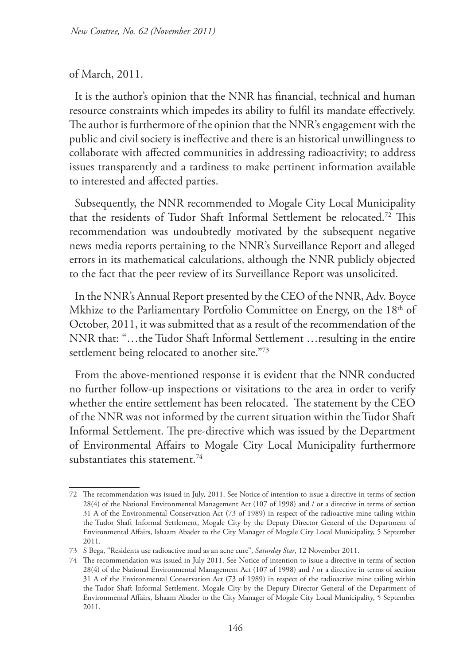#### of March, 2011.

It is the author's opinion that the NNR has financial, technical and human resource constraints which impedes its ability to fulfil its mandate effectively. The author is furthermore of the opinion that the NNR's engagement with the public and civil society is ineffective and there is an historical unwillingness to collaborate with affected communities in addressing radioactivity; to address issues transparently and a tardiness to make pertinent information available to interested and affected parties.

Subsequently, the NNR recommended to Mogale City Local Municipality that the residents of Tudor Shaft Informal Settlement be relocated.72 This recommendation was undoubtedly motivated by the subsequent negative news media reports pertaining to the NNR's Surveillance Report and alleged errors in its mathematical calculations, although the NNR publicly objected to the fact that the peer review of its Surveillance Report was unsolicited.

In the NNR's Annual Report presented by the CEO of the NNR, Adv. Boyce Mkhize to the Parliamentary Portfolio Committee on Energy, on the 18<sup>th</sup> of October, 2011, it was submitted that as a result of the recommendation of the NNR that: "…the Tudor Shaft Informal Settlement …resulting in the entire settlement being relocated to another site."73

From the above-mentioned response it is evident that the NNR conducted no further follow-up inspections or visitations to the area in order to verify whether the entire settlement has been relocated. The statement by the CEO of the NNR was not informed by the current situation within the Tudor Shaft Informal Settlement. The pre-directive which was issued by the Department of Environmental Affairs to Mogale City Local Municipality furthermore substantiates this statement.74

<sup>72</sup> The recommendation was issued in July, 2011. See Notice of intention to issue a directive in terms of section 28(4) of the National Environmental Management Act (107 of 1998) and / or a directive in terms of section 31 A of the Environmental Conservation Act (73 of 1989) in respect of the radioactive mine tailing within the Tudor Shaft Informal Settlement, Mogale City by the Deputy Director General of the Department of Environmental Affairs, Ishaam Abader to the City Manager of Mogale City Local Municipality, 5 September 2011.

<sup>73</sup> S Bega, "Residents use radioactive mud as an acne cure", *Saturday Star*, 12 November 2011.

<sup>74</sup> The recommendation was issued in July 2011. See Notice of intention to issue a directive in terms of section 28(4) of the National Environmental Management Act (107 of 1998) and / or a directive in terms of section 31 A of the Environmental Conservation Act (73 of 1989) in respect of the radioactive mine tailing within the Tudor Shaft Informal Settlement, Mogale City by the Deputy Director General of the Department of Environmental Affairs, Ishaam Abader to the City Manager of Mogale City Local Municipality, 5 September 2011.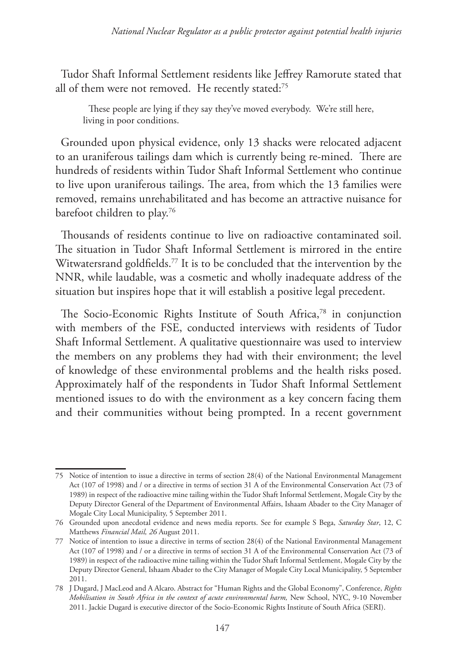Tudor Shaft Informal Settlement residents like Jeffrey Ramorute stated that all of them were not removed. He recently stated:<sup>75</sup>

These people are lying if they say they've moved everybody. We're still here, living in poor conditions.

Grounded upon physical evidence, only 13 shacks were relocated adjacent to an uraniferous tailings dam which is currently being re-mined. There are hundreds of residents within Tudor Shaft Informal Settlement who continue to live upon uraniferous tailings. The area, from which the 13 families were removed, remains unrehabilitated and has become an attractive nuisance for barefoot children to play.<sup>76</sup>

Thousands of residents continue to live on radioactive contaminated soil. The situation in Tudor Shaft Informal Settlement is mirrored in the entire Witwatersrand goldfields.<sup>77</sup> It is to be concluded that the intervention by the NNR, while laudable, was a cosmetic and wholly inadequate address of the situation but inspires hope that it will establish a positive legal precedent.

The Socio-Economic Rights Institute of South Africa,<sup>78</sup> in conjunction with members of the FSE, conducted interviews with residents of Tudor Shaft Informal Settlement. A qualitative questionnaire was used to interview the members on any problems they had with their environment; the level of knowledge of these environmental problems and the health risks posed. Approximately half of the respondents in Tudor Shaft Informal Settlement mentioned issues to do with the environment as a key concern facing them and their communities without being prompted. In a recent government

<sup>75</sup> Notice of intention to issue a directive in terms of section 28(4) of the National Environmental Management Act (107 of 1998) and / or a directive in terms of section 31 A of the Environmental Conservation Act (73 of 1989) in respect of the radioactive mine tailing within the Tudor Shaft Informal Settlement, Mogale City by the Deputy Director General of the Department of Environmental Affairs, Ishaam Abader to the City Manager of Mogale City Local Municipality, 5 September 2011.

<sup>76</sup> Grounded upon anecdotal evidence and news media reports. See for example S Bega, *Saturday Star*, 12, C Matthews *Financial Mail, 26* August 2011.

<sup>77</sup> Notice of intention to issue a directive in terms of section 28(4) of the National Environmental Management Act (107 of 1998) and / or a directive in terms of section 31 A of the Environmental Conservation Act (73 of 1989) in respect of the radioactive mine tailing within the Tudor Shaft Informal Settlement, Mogale City by the Deputy Director General, Ishaam Abader to the City Manager of Mogale City Local Municipality, 5 September 2011.

<sup>78</sup> J Dugard, J MacLeod and A Alcaro. Abstract for "Human Rights and the Global Economy", Conference, *Rights Mobilisation in South Africa in the context of acute environmental harm*, New School, NYC, 9-10 November 2011. Jackie Dugard is executive director of the Socio-Economic Rights Institute of South Africa (SERI).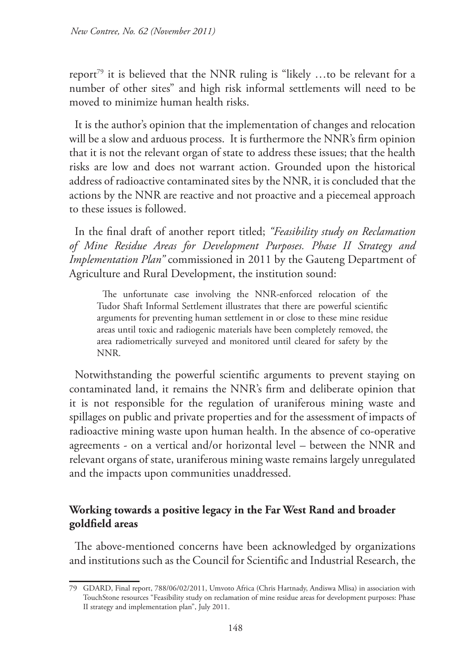report<sup>79</sup> it is believed that the NNR ruling is "likely ...to be relevant for a number of other sites" and high risk informal settlements will need to be moved to minimize human health risks.

It is the author's opinion that the implementation of changes and relocation will be a slow and arduous process. It is furthermore the NNR's firm opinion that it is not the relevant organ of state to address these issues; that the health risks are low and does not warrant action. Grounded upon the historical address of radioactive contaminated sites by the NNR, it is concluded that the actions by the NNR are reactive and not proactive and a piecemeal approach to these issues is followed.

In the final draft of another report titled; *"Feasibility study on Reclamation of Mine Residue Areas for Development Purposes. Phase II Strategy and Implementation Plan"* commissioned in 2011 by the Gauteng Department of Agriculture and Rural Development, the institution sound:

The unfortunate case involving the NNR-enforced relocation of the Tudor Shaft Informal Settlement illustrates that there are powerful scientific arguments for preventing human settlement in or close to these mine residue areas until toxic and radiogenic materials have been completely removed, the area radiometrically surveyed and monitored until cleared for safety by the NNR.

Notwithstanding the powerful scientific arguments to prevent staying on contaminated land, it remains the NNR's firm and deliberate opinion that it is not responsible for the regulation of uraniferous mining waste and spillages on public and private properties and for the assessment of impacts of radioactive mining waste upon human health. In the absence of co-operative agreements - on a vertical and/or horizontal level – between the NNR and relevant organs of state, uraniferous mining waste remains largely unregulated and the impacts upon communities unaddressed.

### **Working towards a positive legacy in the Far West Rand and broader goldfield areas**

The above-mentioned concerns have been acknowledged by organizations and institutions such as the Council for Scientific and Industrial Research, the

<sup>79</sup> GDARD, Final report, 788/06/02/2011, Umvoto Africa (Chris Hartnady, Andiswa Mlisa) in association with TouchStone resources "Feasibility study on reclamation of mine residue areas for development purposes: Phase II strategy and implementation plan", July 2011.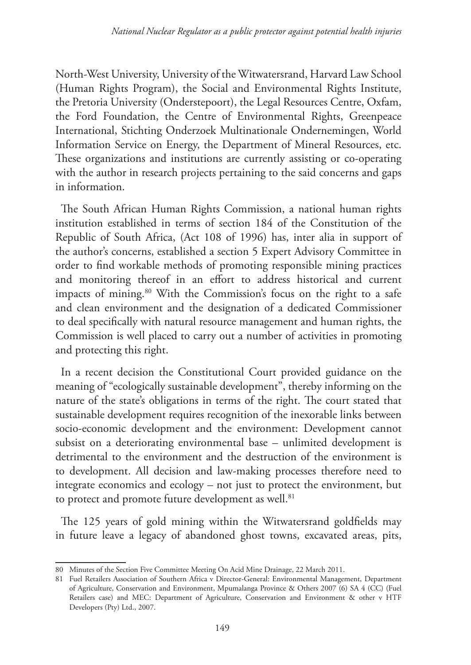North-West University, University of the Witwatersrand, Harvard Law School (Human Rights Program), the Social and Environmental Rights Institute, the Pretoria University (Onderstepoort), the Legal Resources Centre, Oxfam, the Ford Foundation, the Centre of Environmental Rights, Greenpeace International, Stichting Onderzoek Multinationale Ondernemingen, World Information Service on Energy, the Department of Mineral Resources, etc. These organizations and institutions are currently assisting or co-operating with the author in research projects pertaining to the said concerns and gaps in information.

The South African Human Rights Commission, a national human rights institution established in terms of section 184 of the Constitution of the Republic of South Africa, (Act 108 of 1996) has, inter alia in support of the author's concerns, established a section 5 Expert Advisory Committee in order to find workable methods of promoting responsible mining practices and monitoring thereof in an effort to address historical and current impacts of mining.<sup>80</sup> With the Commission's focus on the right to a safe and clean environment and the designation of a dedicated Commissioner to deal specifically with natural resource management and human rights, the Commission is well placed to carry out a number of activities in promoting and protecting this right.

In a recent decision the Constitutional Court provided guidance on the meaning of "ecologically sustainable development", thereby informing on the nature of the state's obligations in terms of the right. The court stated that sustainable development requires recognition of the inexorable links between socio-economic development and the environment: Development cannot subsist on a deteriorating environmental base – unlimited development is detrimental to the environment and the destruction of the environment is to development. All decision and law-making processes therefore need to integrate economics and ecology – not just to protect the environment, but to protect and promote future development as well.<sup>81</sup>

The 125 years of gold mining within the Witwatersrand goldfields may in future leave a legacy of abandoned ghost towns, excavated areas, pits,

<sup>80</sup> Minutes of the Section Five Committee Meeting On Acid Mine Drainage, 22 March 2011.

<sup>81</sup> Fuel Retailers Association of Southern Africa v Director-General: Environmental Management, Department of Agriculture, Conservation and Environment, Mpumalanga Province & Others 2007 (6) SA 4 (CC) (Fuel Retailers case) and MEC: Department of Agriculture, Conservation and Environment & other v HTF Developers (Pty) Ltd., 2007.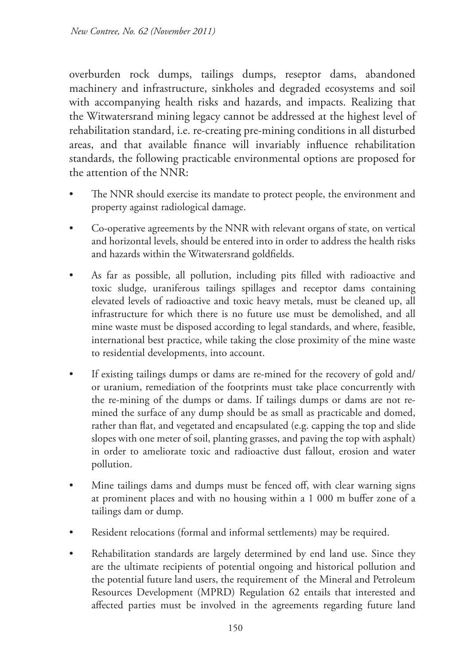overburden rock dumps, tailings dumps, reseptor dams, abandoned machinery and infrastructure, sinkholes and degraded ecosystems and soil with accompanying health risks and hazards, and impacts. Realizing that the Witwatersrand mining legacy cannot be addressed at the highest level of rehabilitation standard, i.e. re-creating pre-mining conditions in all disturbed areas, and that available finance will invariably influence rehabilitation standards, the following practicable environmental options are proposed for the attention of the NNR:

- The NNR should exercise its mandate to protect people, the environment and property against radiological damage.
- Co-operative agreements by the NNR with relevant organs of state, on vertical and horizontal levels, should be entered into in order to address the health risks and hazards within the Witwatersrand goldfields.
- As far as possible, all pollution, including pits filled with radioactive and toxic sludge, uraniferous tailings spillages and receptor dams containing elevated levels of radioactive and toxic heavy metals, must be cleaned up, all infrastructure for which there is no future use must be demolished, and all mine waste must be disposed according to legal standards, and where, feasible, international best practice, while taking the close proximity of the mine waste to residential developments, into account.
- If existing tailings dumps or dams are re-mined for the recovery of gold and/ or uranium, remediation of the footprints must take place concurrently with the re-mining of the dumps or dams. If tailings dumps or dams are not remined the surface of any dump should be as small as practicable and domed, rather than flat, and vegetated and encapsulated (e.g. capping the top and slide slopes with one meter of soil, planting grasses, and paving the top with asphalt) in order to ameliorate toxic and radioactive dust fallout, erosion and water pollution.
- Mine tailings dams and dumps must be fenced off, with clear warning signs at prominent places and with no housing within a 1 000 m buffer zone of a tailings dam or dump.
- Resident relocations (formal and informal settlements) may be required.
- Rehabilitation standards are largely determined by end land use. Since they are the ultimate recipients of potential ongoing and historical pollution and the potential future land users, the requirement of the Mineral and Petroleum Resources Development (MPRD) Regulation 62 entails that interested and affected parties must be involved in the agreements regarding future land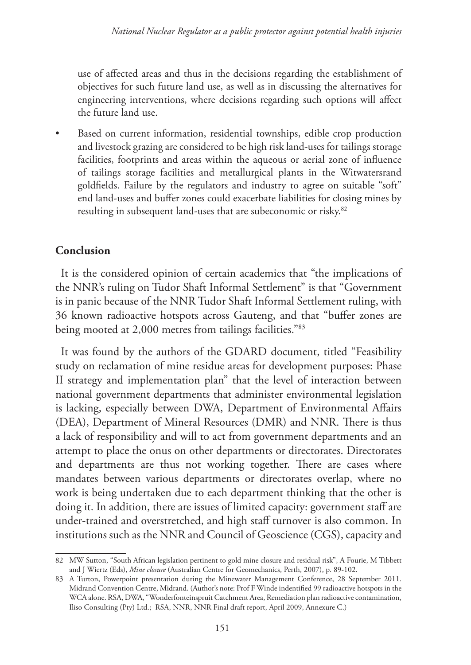use of affected areas and thus in the decisions regarding the establishment of objectives for such future land use, as well as in discussing the alternatives for engineering interventions, where decisions regarding such options will affect the future land use.

Based on current information, residential townships, edible crop production and livestock grazing are considered to be high risk land-uses for tailings storage facilities, footprints and areas within the aqueous or aerial zone of influence of tailings storage facilities and metallurgical plants in the Witwatersrand goldfields. Failure by the regulators and industry to agree on suitable "soft" end land-uses and buffer zones could exacerbate liabilities for closing mines by resulting in subsequent land-uses that are subeconomic or risky.82

### **Conclusion**

It is the considered opinion of certain academics that "the implications of the NNR's ruling on Tudor Shaft Informal Settlement" is that "Government is in panic because of the NNR Tudor Shaft Informal Settlement ruling, with 36 known radioactive hotspots across Gauteng, and that "buffer zones are being mooted at 2,000 metres from tailings facilities."83

It was found by the authors of the GDARD document, titled "Feasibility study on reclamation of mine residue areas for development purposes: Phase II strategy and implementation plan" that the level of interaction between national government departments that administer environmental legislation is lacking, especially between DWA, Department of Environmental Affairs (DEA), Department of Mineral Resources (DMR) and NNR. There is thus a lack of responsibility and will to act from government departments and an attempt to place the onus on other departments or directorates. Directorates and departments are thus not working together. There are cases where mandates between various departments or directorates overlap, where no work is being undertaken due to each department thinking that the other is doing it. In addition, there are issues of limited capacity: government staff are under-trained and overstretched, and high staff turnover is also common. In institutions such as the NNR and Council of Geoscience (CGS), capacity and

<sup>82</sup> MW Sutton, "South African legislation pertinent to gold mine closure and residual risk", A Fourie, M Tibbett and J Wiertz (Eds), *Mine closure* (Australian Centre for Geomechanics, Perth, 2007), p. 89-102.

<sup>83</sup> A Turton, Powerpoint presentation during the Minewater Management Conference, 28 September 2011. Midrand Convention Centre, Midrand. (Author's note: Prof F Winde indentified 99 radioactive hotspots in the WCA alone. RSA, DWA, "Wonderfonteinspruit Catchment Area, Remediation plan radioactive contamination, Iliso Consulting (Pty) Ltd.; RSA, NNR, NNR Final draft report, April 2009, Annexure C.)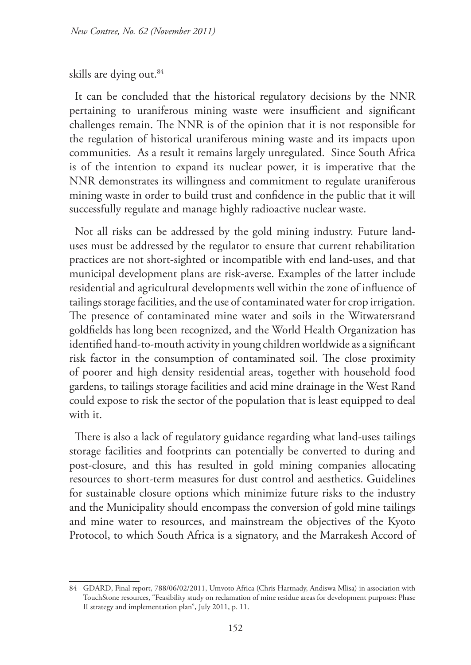#### skills are dying out.<sup>84</sup>

It can be concluded that the historical regulatory decisions by the NNR pertaining to uraniferous mining waste were insufficient and significant challenges remain. The NNR is of the opinion that it is not responsible for the regulation of historical uraniferous mining waste and its impacts upon communities. As a result it remains largely unregulated. Since South Africa is of the intention to expand its nuclear power, it is imperative that the NNR demonstrates its willingness and commitment to regulate uraniferous mining waste in order to build trust and confidence in the public that it will successfully regulate and manage highly radioactive nuclear waste.

Not all risks can be addressed by the gold mining industry. Future landuses must be addressed by the regulator to ensure that current rehabilitation practices are not short-sighted or incompatible with end land-uses, and that municipal development plans are risk-averse. Examples of the latter include residential and agricultural developments well within the zone of influence of tailings storage facilities, and the use of contaminated water for crop irrigation. The presence of contaminated mine water and soils in the Witwatersrand goldfields has long been recognized, and the World Health Organization has identified hand-to-mouth activity in young children worldwide as a significant risk factor in the consumption of contaminated soil. The close proximity of poorer and high density residential areas, together with household food gardens, to tailings storage facilities and acid mine drainage in the West Rand could expose to risk the sector of the population that is least equipped to deal with it.

There is also a lack of regulatory guidance regarding what land-uses tailings storage facilities and footprints can potentially be converted to during and post-closure, and this has resulted in gold mining companies allocating resources to short-term measures for dust control and aesthetics. Guidelines for sustainable closure options which minimize future risks to the industry and the Municipality should encompass the conversion of gold mine tailings and mine water to resources, and mainstream the objectives of the Kyoto Protocol, to which South Africa is a signatory, and the Marrakesh Accord of

<sup>84</sup> GDARD, Final report, 788/06/02/2011, Umvoto Africa (Chris Hartnady, Andiswa Mlisa) in association with TouchStone resources, "Feasibility study on reclamation of mine residue areas for development purposes: Phase II strategy and implementation plan", July 2011, p. 11.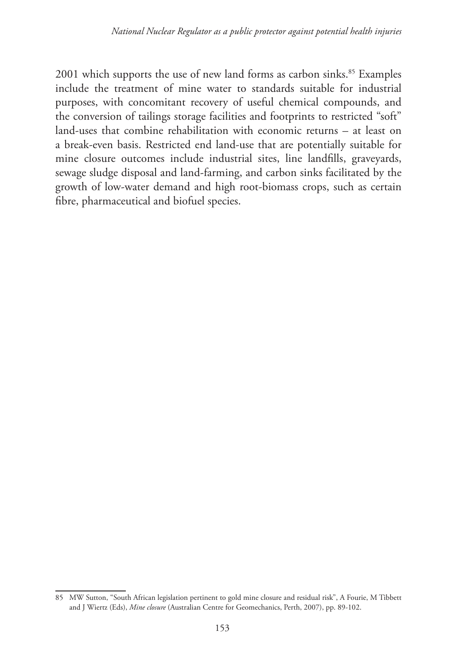2001 which supports the use of new land forms as carbon sinks.<sup>85</sup> Examples include the treatment of mine water to standards suitable for industrial purposes, with concomitant recovery of useful chemical compounds, and the conversion of tailings storage facilities and footprints to restricted "soft" land-uses that combine rehabilitation with economic returns – at least on a break-even basis. Restricted end land-use that are potentially suitable for mine closure outcomes include industrial sites, line landfills, graveyards, sewage sludge disposal and land-farming, and carbon sinks facilitated by the growth of low-water demand and high root-biomass crops, such as certain fibre, pharmaceutical and biofuel species.

<sup>85</sup> MW Sutton, "South African legislation pertinent to gold mine closure and residual risk", A Fourie, M Tibbett and J Wiertz (Eds), *Mine closure* (Australian Centre for Geomechanics, Perth, 2007), pp. 89-102.